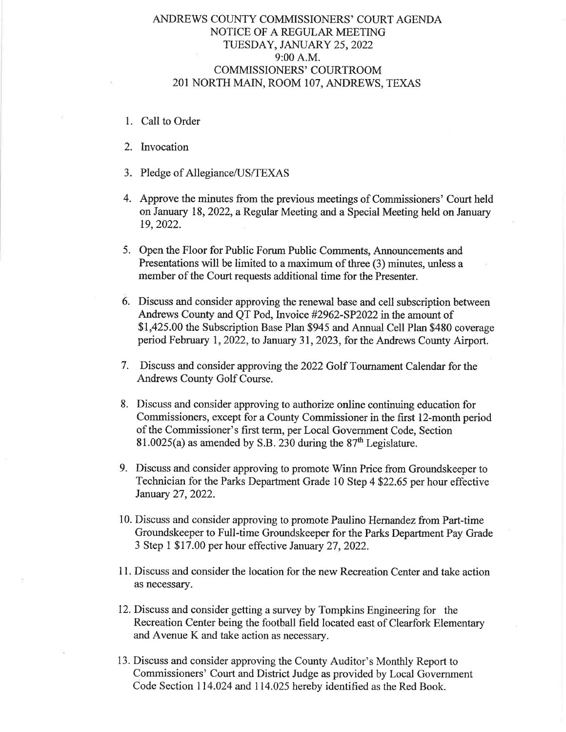# ANDREWS COUNTY COMMISSIONERS' COURT AGENDA NOTICE OF A REGULAR MEETING TUESDAY, JANUARY 25, 2022 9:00 A.M. COMMISSIONERS' COURTROOM 2OI NORTH MAIN, ROOM IO7, ANDREWS, TEXAS

- 1. Call to Order
- 2. Invocation
- 3. Pledge of Allegiance/US/TEXAS
- 4, Approve the minutes from the previous meetings of Commissioners' Court held on January 18,2022, a Regular Meeting and a Special Meeting held on January 19,2022.
- 5. Open the Floor for Public Forum Public Comments, Announcements and Presentations will be limited to a maximum of three (3) minutes, unless <sup>a</sup> member of the Court requests additional time for the Presenter.
- 6. Discuss and consider approving the renewal base and cell subscription between Andrews County and QT Pod, Invoice #2962-SP2022 in the amount of \$1,425.00 the Subscription Base Plan \$945 and Annual Cell Plan \$480 coverage period February 1,2022, to January 31,2023, for the Andrews County Airport.
- 7. Discuss and consider approving the 2022 Golf Tournament Calendar for the Andrews County Golf Course.
- 8. Discuss and consider approving to authorize online continuing education for Commissioners, except for a County Commissioner in the first 12-month period of the Commissioner's first term, per Local Government Code, Section 81.0025(a) as amended by S.B. 230 during the  $87<sup>th</sup>$  Legislature.
- 9. Discuss and consider approving to promote Winn Price from Groundskeeper to Technician for the Parks Department Grade 10 Step 4 522,65 per hour effective January 27,2022.
- 10. Discuss and consider approving to promote Paulino Hernandez from Part-time Groundskeeper to Full-time Groundskeeper for the Parks Department Pay Grade 3 Step I \$ 17.00 per hour effective January 27 ,2022.
- 11. Discuss and consider the location for the new Recreation Center and take action as necessary.
- 12. Discuss and consider getting a survey by Tompkins Engineering for the Recreation Center being the football field located east of Clearfork Elementary and Avenue K and take action as necessary.
- 13. Discuss and consider approving the County Auditor's Monthly Report to Commissioners' Court and District Judge as provided by Local Govemment Code Section 114.024 and 114.025 hereby identified as the Red Book.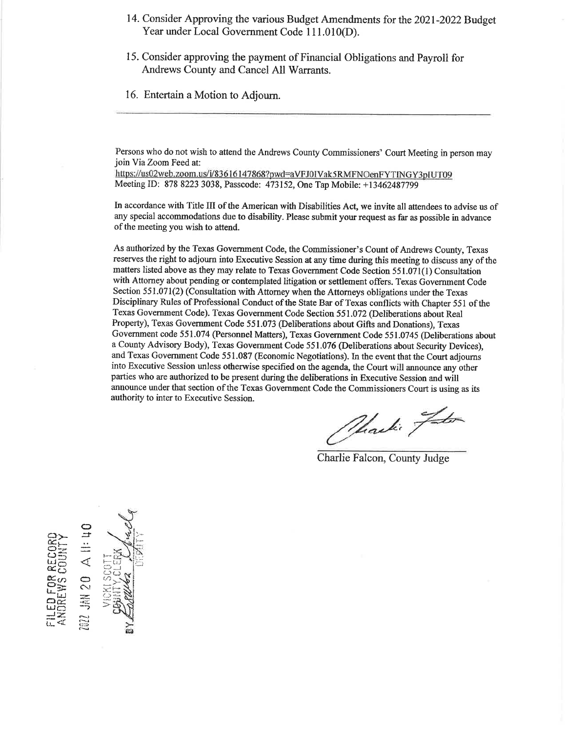- 14. Consider Approving the various Budget Amendments for the 2021-2022 Budget Year under Local Government Code 111.010(D).
- 15. consider approving the payment of Financial obligations and Payroll for Andrews County and Cancel All Warrants.
- 16. Entertain a Motion to Adjourn.

Persons who do not wish to attend the Andrews County Commissioners' Court Meeting in person may join Via Zoom Feed at:

https://us02web.zoom.us/i/83616147868?pwd=aVFJ0IVak5RMFNOenFYTINGY3pIUT09 Meeting ID: 878 8223 3038, Passcode: 473152, One Tap Mobile: +13462487j99

In accordance with Title III of the American with Disabilities Act, we invite all attendees to advise us of any special accommodations due to disability. Please submit your request as far as possible in advance of the meeting you wish to attend.

As authorized by the Texas Govemment Code, the Commissioner's Count of Andrews County, Texas reserves the right to adjourn into Executive Session at any time during this meeting to discuss any of the matters listed above as they may relate to Texas Government Code Section 551.071(l) Consultation with Attomey about pending or contemplated litigation or settlement offers. Texas Government Code Section 551.071(2) (Consultation with Attorney when the Attorneys obligations under the Texas Disciplinary Rules of Professional Conduct of the State Bar of Texas conflicts with Chapter 551 of the Texas Government Code). Texas Government Code Section 551.072 (Deliberations about Real Property), Texas Government Code 551.073 (Deliberations about Gifts and Donations), Texas Government code 551.074 (Personnel Matters), Texas Government Code 551.0745 (Deliberations about a County Advisory Body), Texas Government Code 551.076 (Deliberations about Security Devices), and Texas Government Code 551.087 (Economic Negotiations). In the event that the Court adjoums into Executive Session unless otherwise specified on the agenda, the Court will announce any other parties who are authorized to be present during the deliberations in Executive Session and will announce under that section of the Texas Government Code the Commissioners Court is using as its authority to inter to Executive Session.

Marki Joto

Charlie Falcon, County Judge

 $\overline{a}$  $\overline{\mathbb{C}}$ F l--' F  $\leq$  $_{\odot}$  $\circ$  $\begin{matrix} \Xi \succ \ \Xi \end{matrix}$  . UEF (J<br>UOF (J e:<br>E  $20$ tru<br>OR 3  $\Xi^{\bf Z}$  .  $\Xi$ l-\*